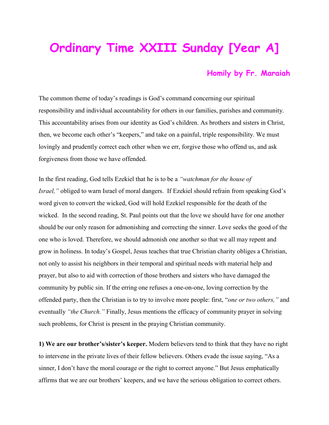## **Ordinary Time XXIII Sunday [Year A]**

## **Homily by Fr. Maraiah**

The common theme of today's readings is God's command concerning our spiritual responsibility and individual accountability for others in our families, parishes and community. This accountability arises from our identity as God's children. As brothers and sisters in Christ, then, we become each other's "keepers," and take on a painful, triple responsibility. We must lovingly and prudently correct each other when we err, forgive those who offend us, and ask forgiveness from those we have offended.

In the first reading, God tells Ezekiel that he is to be a *"watchman for the house of Israel,"* obliged to warn Israel of moral dangers. If Ezekiel should refrain from speaking God's word given to convert the wicked, God will hold Ezekiel responsible for the death of the wicked. In the second reading, St. Paul points out that the love we should have for one another should be our only reason for admonishing and correcting the sinner. Love seeks the good of the one who is loved. Therefore, we should admonish one another so that we all may repent and grow in holiness. In today's Gospel, Jesus teaches that true Christian charity obliges a Christian, not only to assist his neighbors in their temporal and spiritual needs with material help and prayer, but also to aid with correction of those brothers and sisters who have damaged the community by public sin. If the erring one refuses a one-on-one, loving correction by the offended party, then the Christian is to try to involve more people: first, "*one or two others,"* and eventually *"the Church."* Finally, Jesus mentions the efficacy of community prayer in solving such problems, for Christ is present in the praying Christian community.

**1) We are our brother's/sister's keeper.** Modern believers tend to think that they have no right to intervene in the private lives of their fellow believers. Others evade the issue saying, "As a sinner, I don't have the moral courage or the right to correct anyone." But Jesus emphatically affirms that we are our brothers' keepers, and we have the serious obligation to correct others.